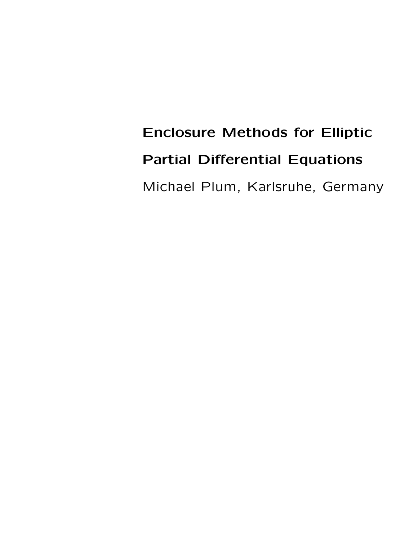## Enclosure Methods for Elliptic Partial Differential Equations

Michael Plum, Karlsruhe, Germany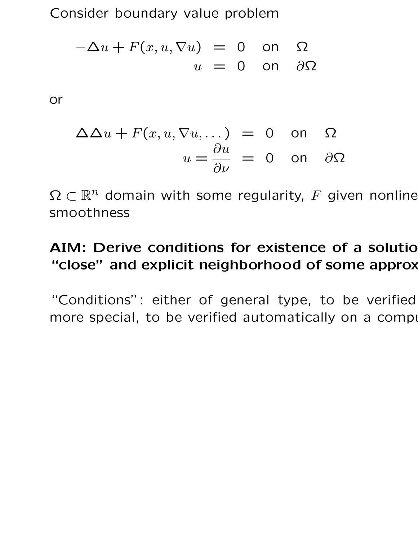Consider boundary value problem

$$
-\Delta u + F(x, u, \nabla u) = 0 \text{ on } \Omega
$$
  

$$
u = 0 \text{ on } \partial\Omega
$$

or

$$
\Delta \Delta u + F(x, u, \nabla u, \dots) = 0 \text{ on } \Omega
$$
  

$$
u = \frac{\partial u}{\partial \nu} = 0 \text{ on } \partial \Omega
$$

 $\Omega \subset \mathbb{R}^n$  domain with some regularity, F given nonline smoothness

## AIM: Derive conditions for existence of a solution "close" and explicit neighborhood of some approx

"Conditions": either of general type, to be verified more special, to be verified automatically on a compi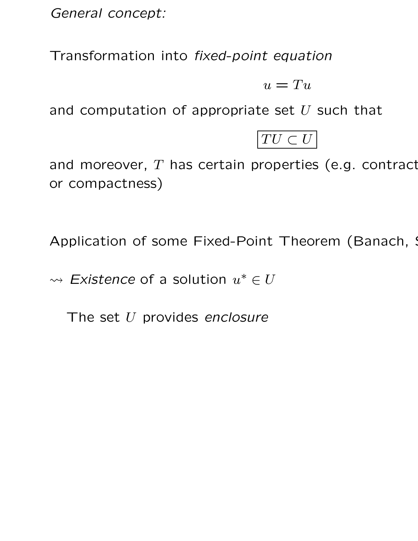General concept:

Transformation into fixed-point equation

 $u = Tu$ 

and computation of appropriate set  $U$  such that



and moreover,  $T$  has certain properties (e.g. contract or compactness)

Application of some Fixed-Point Theorem (Banach, .

 $\rightsquigarrow$  Existence of a solution  $u^* \in U$ 

The set  $U$  provides enclosure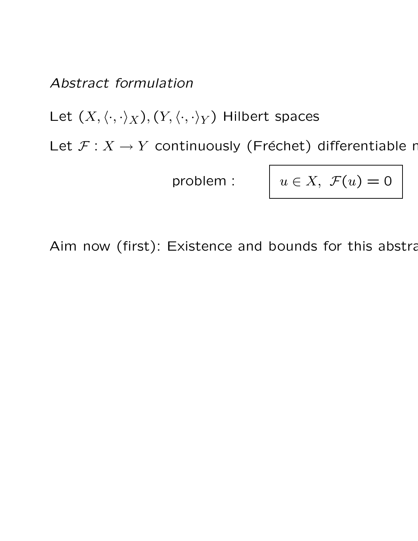Abstract formulation

Let  $(X, \langle \cdot, \cdot \rangle_X), (Y, \langle \cdot, \cdot \rangle_Y)$  Hilbert spaces

Let  $\mathcal{F}: X \to Y$  continuously (Fréchet) differentiable n

problem :  $\left| u \in X, \mathcal{F}(u) = 0 \right|$ 

Aim now (first): Existence and bounds for this abstra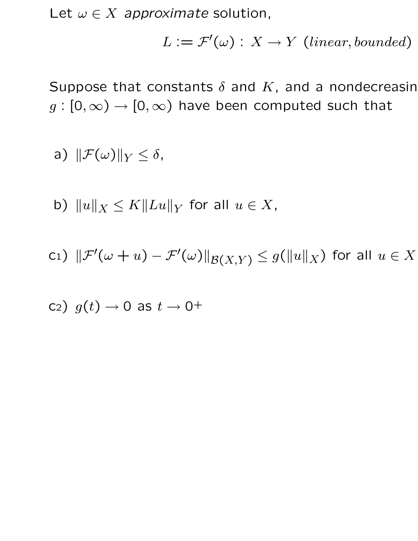Let  $\omega \in X$  approximate solution,

 $L := \mathcal{F}'(\omega) : X \to Y$  (linear, bounded)

Suppose that constants  $\delta$  and K, and a nondecreasing  $g:[0,\infty)\to [0,\infty)$  have been computed such that

a) 
$$
\|\mathcal{F}(\omega)\|_Y \leq \delta
$$
,

b)  $||u||_X \leq K||Lu||_Y$  for all  $u \in X$ ,

c1)  $\|\mathcal{F}'(\omega + u) - \mathcal{F}'(\omega)\|_{\mathcal{B}(X,Y)} \le g(\|u\|_X)$  for all  $u \in X$ 

c<sub>2</sub>)  $q(t) \rightarrow 0$  as  $t \rightarrow 0^+$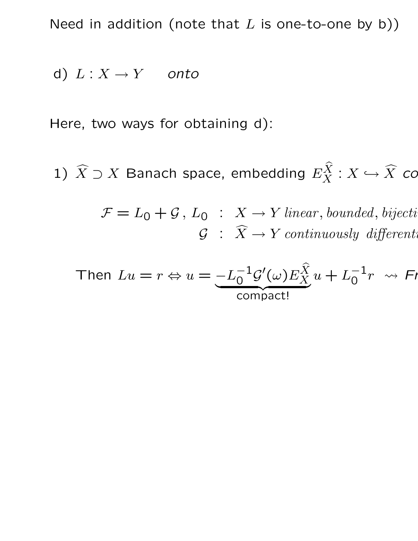Need in addition (note that  $L$  is one-to-one by b))

d)  $L: X \to Y$  onto

Here, two ways for obtaining d):

1)  $\widehat{X}\supset X$  Banach space, embedding  $E_X^X : X\hookrightarrow \widehat{X}$  co

 $\mathcal{F} = L_0 + \mathcal{G}, L_0 : X \to Y$  linear, bounded, bijection  $G : \hat{X} \rightarrow Y$  continuously differents

Then 
$$
Lu = r \Leftrightarrow u = \underbrace{-L_0^{-1} \mathcal{G}'(\omega) E_X^{\hat{X}}}_{\text{compact!}} u + L_0^{-1} r \rightsquigarrow Ft
$$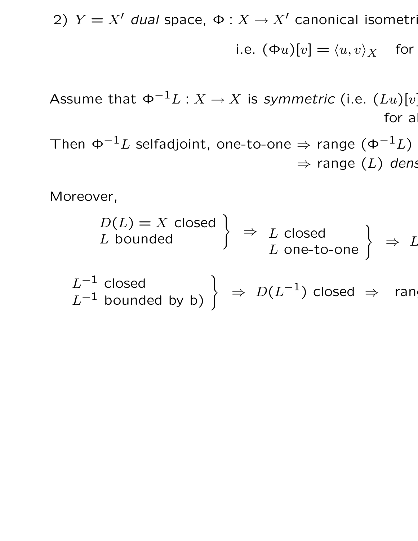2)  $Y = X'$  dual space,  $\Phi : X \to X'$  canonical isometric

i.e. 
$$
(\Phi u)[v] = \langle u, v \rangle_X
$$
 for

Assume that  $\Phi^{-1}L : X \to X$  is symmetric (i.e.  $(Lu)[v]$ for a

Then  $\Phi^{-1}L$  selfadjoint, one-to-one  $\Rightarrow$  range  $(\Phi^{-1}L)$  $\Rightarrow$  range  $(L)$  dense

Moreover,

$$
D(L) = X \text{ closed } \Big\} \Rightarrow L \text{ closed } L \text{ one-to-one } \Big\} \Rightarrow L
$$

$$
\left.\begin{array}{c}L^{-1} \text{ closed} \\ L^{-1} \text{ bounded by b}\end{array}\right\} \Rightarrow D(L^{-1}) \text{ closed } \Rightarrow \text{ ran}.
$$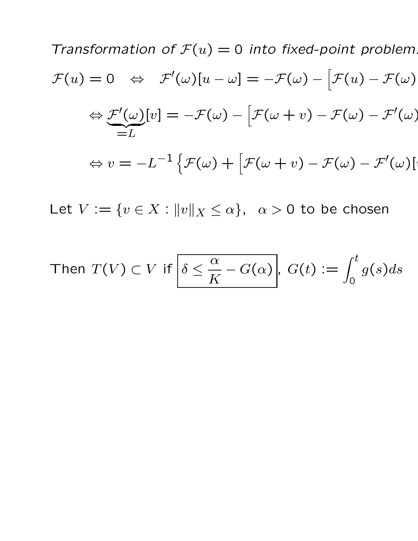Transformation of  $\mathcal{F}(u) = 0$  into fixed-point problem.  $\mathcal{F}(u) = 0 \Leftrightarrow \mathcal{F}'(\omega)[u - \omega] = -\mathcal{F}(\omega) - [\mathcal{F}(u) - \mathcal{F}(\omega)]$  $\Leftrightarrow$   $\mathcal{F}'(\omega)$  $\sum_{i=1}^{n}$  $\Gamma[v] = -\mathcal{F}(\omega) - \bigl[ \mathcal{F}(\omega + v) - \mathcal{F}(\omega) - \mathcal{F}'(\omega) \bigr]$  $\Leftrightarrow v = - L^{-1} \left\{ \mathcal{F}(\omega) + \left[ \mathcal{F}(\omega + v) - \mathcal{F}(\omega) - \mathcal{F}'(\omega) \right] \right\}$ 

Let  $V := \{v \in X : ||v||_X \leq \alpha\}$ ,  $\alpha > 0$  to be chosen

Then 
$$
T(V) \subset V
$$
 if  $\delta \leq \frac{\alpha}{K} - G(\alpha)$ ,  $G(t) := \int_0^t g(s)ds$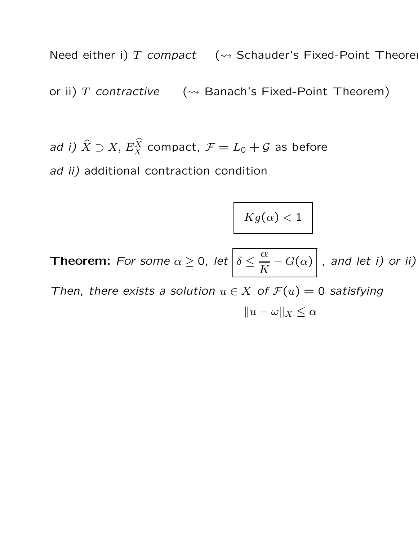Need either i) T compact  $(\rightsquigarrow)$  Schauder's Fixed-Point Theorem

or ii) T contractive  $(\rightsquigarrow$  Banach's Fixed-Point Theorem)

ad i)  $\widehat{X} \supset X$ ,  $E_X^X$  compact,  $\mathcal{F} = L_0 + \mathcal{G}$  as before ad ii) additional contraction condition

$$
Kg(\alpha)<1
$$

**Theorem:** For some  $\alpha \geq 0$ , let  $\delta \leq$  $\overline{\alpha}$ K  $-G(\alpha)$ , and let i) or ii)

Then, there exists a solution  $u \in X$  of  $\mathcal{F}(u) = 0$  satisfying

$$
||u - \omega||_X \le \alpha
$$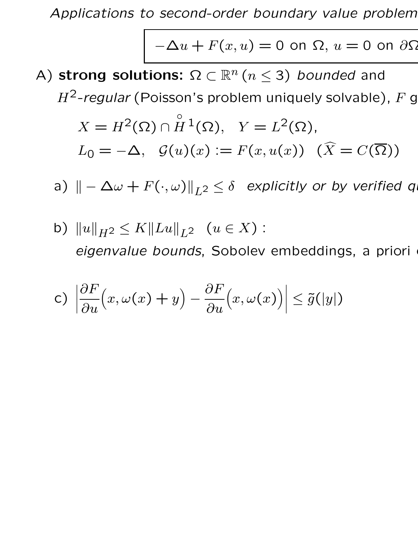Applications to second-order boundary value problem

 $-\Delta u + F(x, u) = 0$  on  $\Omega$ ,  $u = 0$  on  $\partial \Omega$ 

A) strong solutions:  $\Omega \subset \mathbb{R}^n$  ( $n \leq 3$ ) bounded and  $H^2$ -regular (Poisson's problem uniquely solvable), F g

$$
X = H^{2}(\Omega) \cap \overset{\circ}{H}^{1}(\Omega), \quad Y = L^{2}(\Omega),
$$
  
\n
$$
L_{0} = -\Delta, \quad \mathcal{G}(u)(x) := F(x, u(x)) \quad (\widehat{X} = C(\overline{\Omega}))
$$

a)  $\| - \Delta \omega + F(\cdot, \omega) \|_{L^2} \le \delta$  explicitly or by verified quadrature

b)  $||u||_{H^2} \le K||Lu||_{L^2}$   $(u \in X)$ : eigenvalue bounds, Sobolev embeddings, a priori

c) 
$$
\left| \frac{\partial F}{\partial u}(x, \omega(x) + y) - \frac{\partial F}{\partial u}(x, \omega(x)) \right| \le \tilde{g}(|y|)
$$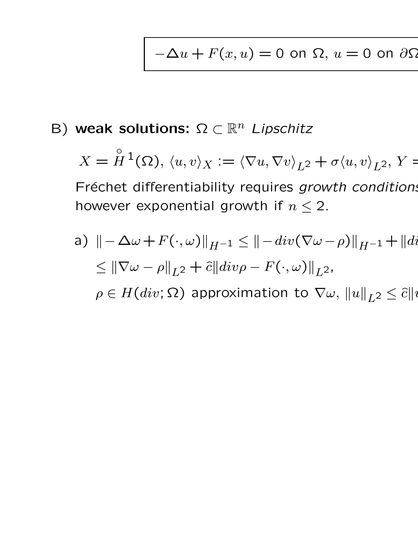$-\Delta u + F(x, u) = 0$  on  $\Omega$ ,  $u = 0$  on  $\partial \Omega$ 

B) weak solutions:  $\Omega \subset \mathbb{R}^n$  Lipschitz

 $X =$  $\overline{O}$  $H^1(\Omega), \, \langle u, v \rangle_X := \langle \nabla u, \nabla v \rangle_{L^2} + \sigma \langle u, v \rangle_{L^2}, \, Y =$ Fréchet differentiability requires growth conditions however exponential growth if  $n \leq 2$ .

a) 
$$
\| -\Delta \omega + F(\cdot, \omega) \|_{H^{-1}} \le \| -div(\nabla \omega - \rho) \|_{H^{-1}} + \|di
$$
  
\n $\le \| \nabla \omega - \rho \|_{L^2} + \hat{c} \|div \rho - F(\cdot, \omega) \|_{L^2},$   
\n $\rho \in H(div; \Omega)$  approximation to  $\nabla \omega$ ,  $\|u\|_{L^2} \le \hat{c} \|u\|_{L^2}$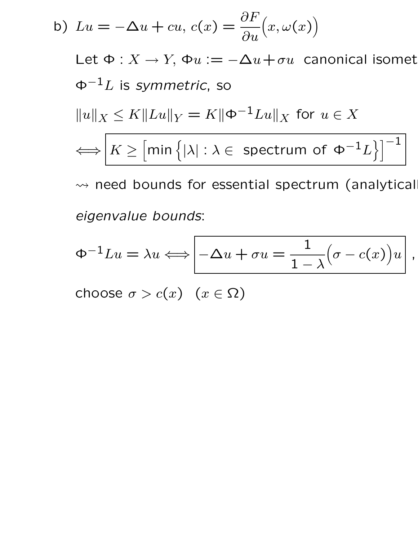b) 
$$
Lu = -\Delta u + cu, c(x) = \frac{\partial F}{\partial u}(x, \omega(x))
$$
  
\nLet  $\Phi : X \to Y$ ,  $\Phi u := -\Delta u + \sigma u$  canonical isomet  
\n $\Phi^{-1}L$  is symmetric, so  
\n $||u||_X \le K||Lu||_Y = K||\Phi^{-1}Lu||_X$  for  $u \in X$   
\n $\Leftrightarrow K \ge [\min\{|\lambda| : \lambda \in \text{ spectrum of } \Phi^{-1}L\}]^{-1}$ 

 $\rightsquigarrow$  need bounds for essential spectrum (analytical eigenvalue bounds:

$$
\Phi^{-1}Lu = \lambda u \Longleftrightarrow \boxed{-\Delta u + \sigma u = \frac{1}{1-\lambda}(\sigma - c(x))u},
$$

choose  $\sigma > c(x)$   $(x \in \Omega)$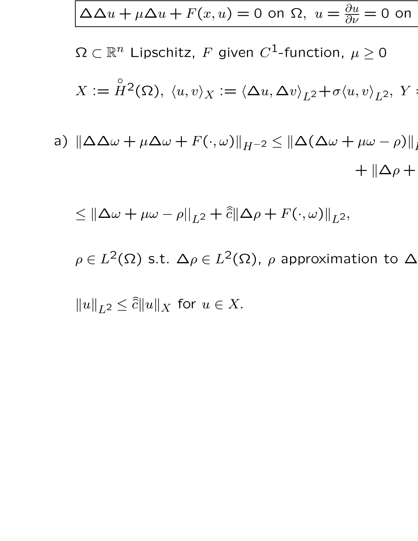$$
\Delta\Delta u + \mu \Delta u + F(x, u) = 0 \text{ on } \Omega, u = \frac{\partial u}{\partial \nu} = 0 \text{ on}
$$

 $\Omega \subset \mathbb{R}^n$  Lipschitz, F given  $C^1$ -function,  $\mu \geq 0$  $X :=$  $\overline{O}$  $\check{H}^{2}(\Omega),\ \langle u,v\rangle_{X} :=\left\langle \Delta u,\Delta v\right\rangle_{L^{2}}+\sigma\langle u,v\rangle_{L^{2}},\ Y=0$ a)  $\|\Delta\Delta\omega + \mu\Delta\omega + F(\cdot, \omega)\|_{H^{-2}} \le \|\Delta(\Delta\omega + \mu\omega - \rho)\|_{H^{-2}}$  $+$  $\parallel \Delta \rho +$  $\leq \|\Delta\omega + \mu\omega - \rho\|_{L^2} + \hat{\tilde{c}}\|\Delta\rho + F(\cdot,\omega)\|_{L^2},$ 

 $\rho \in L^2(\Omega)$  s.t.  $\Delta \rho \in L^2(\Omega)$ ,  $\rho$  approximation to  $\Delta$  $||u||_{L^2} \leq \hat{c}||u||_X$  for  $u \in X$ .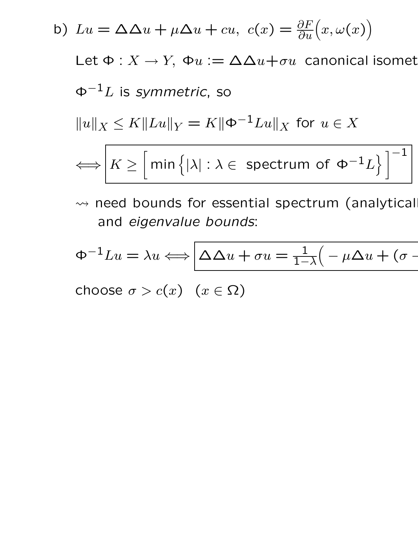b) 
$$
Lu = \Delta \Delta u + \mu \Delta u + cu
$$
,  $c(x) = \frac{\partial F}{\partial u}(x, \omega(x))$   
Let  $\Phi : X \to Y$ ,  $\Phi u := \Delta \Delta u + \sigma u$  canonical isomet  
 $\Phi^{-1}L$  is symmetric, so  
 $||u||_X \le K||Lu||_Y = K||\Phi^{-1}Lu||_X$  for  $u \in X$ 

$$
\Longleftrightarrow \boxed{K \geq \Big[\min\big\{|\lambda| : \lambda \in \text{ spectrum of } \Phi^{-1}L\big\}\Big]^{-1}}
$$

 $\rightsquigarrow$  need bounds for essential spectrum (analytical and eigenvalue bounds:

$$
\Phi^{-1}Lu = \lambda u \Longleftrightarrow \Delta\Delta u + \sigma u = \frac{1}{1-\lambda} \Big( -\mu \Delta u + (\sigma - \sigma u)\Big)
$$

choose  $\sigma > c(x)$   $(x \in \Omega)$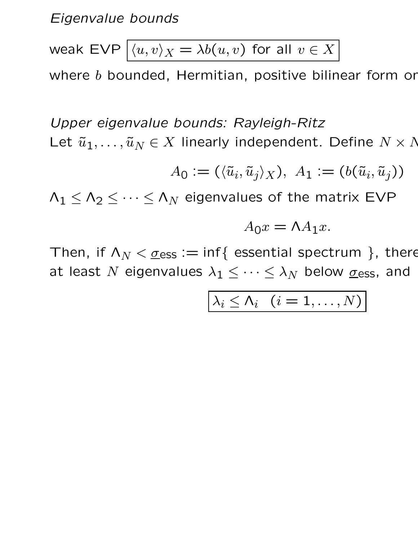## Eigenvalue bounds

weak EVP  $\boxed{\langle u, v \rangle_X = \lambda b(u, v)}$  for all  $v \in X$ 

where  $b$  bounded, Hermitian, positive bilinear form or

Upper eigenvalue bounds: Rayleigh-Ritz Let  $\tilde{u}_1, \ldots, \tilde{u}_N \in X$  linearly independent. Define  $N \times N$ 

$$
A_0 := (\langle \tilde{u}_i, \tilde{u}_j \rangle_X), \ A_1 := (b(\tilde{u}_i, \tilde{u}_j))
$$

 $\Lambda_1 \leq \Lambda_2 \leq \cdots \leq \Lambda_N$  eigenvalues of the matrix EVP

$$
A_0 x = \Lambda A_1 x.
$$

Then, if  $\Lambda_N < \underline{\sigma}$ ess := inf{ essential spectrum }, there at least N eigenvalues  $\lambda_1 \leq \cdots \leq \lambda_N$  below  $\underline{\sigma}$ <sub>ess</sub>, and

$$
\lambda_i \leq \Lambda_i \quad (i=1,\ldots,N)
$$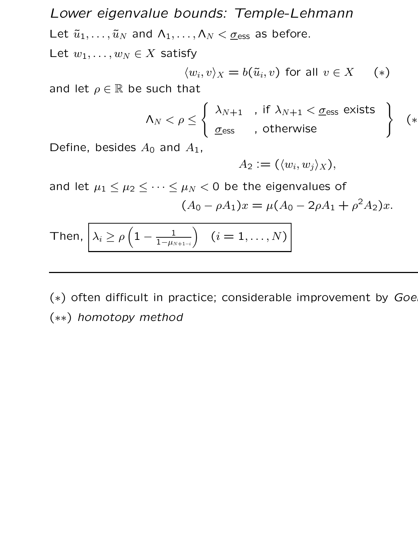Lower eigenvalue bounds: Temple-Lehmann Let  $\tilde{u}_1, \ldots, \tilde{u}_N$  and  $\Lambda_1, \ldots, \Lambda_N < \underline{\sigma_{\text{ess}}}$  as before. Let  $w_1, \ldots, w_N \in X$  satisfy

$$
\langle w_i, v \rangle_X = b(\tilde{u}_i, v) \text{ for all } v \in X \quad (*)
$$

and let  $\rho \in \mathbb{R}$  be such that

$$
\Lambda_N < \rho \leq \left\{ \begin{array}{ll} \lambda_{N+1} & , \text{ if } \lambda_{N+1} < \underline{\sigma}_{\text{ess}} \text{ exists} \\ \underline{\sigma}_{\text{ess}} & , \text{ otherwise} \end{array} \right\} \quad (*)
$$

Define, besides  $A_0$  and  $A_1$ ,

$$
A_2 := (\langle w_i, w_j \rangle_X),
$$

and let  $\mu_1 \leq \mu_2 \leq \cdots \leq \mu_N < 0$  be the eigenvalues of  $(A_0 - \rho A_1)x = \mu(A_0 - 2\rho A_1 + \rho^2 A_2)x.$ 

Then, 
$$
\lambda_i \ge \rho \left(1 - \frac{1}{1 - \mu_{N+1-i}}\right)
$$
  $(i = 1, ..., N)$ 

 $(*)$  often difficult in practice; considerable improvement by Goe (∗∗) homotopy method